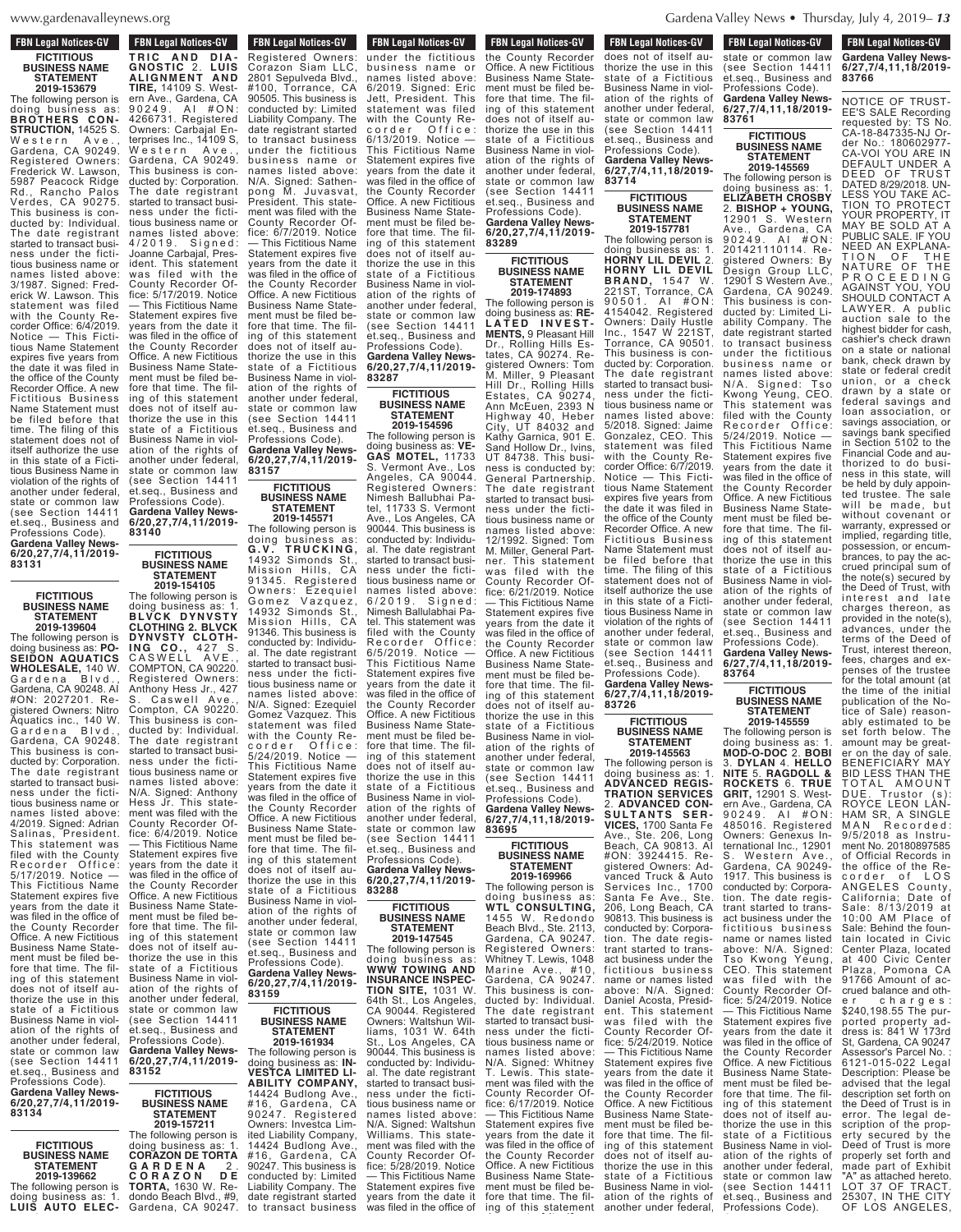**2019-139662**  $\frac{1}{2}$ 

## **FBN Legal Notices-GV FICTITIOUS BUSINESS NAME STATEMENT 2019-153679**

The following person is doing business as: **BROTHERS CON-STRUCTION,** 14525 S. Western Ave., Gardena, CA 90249. Registered Owners: Frederick W. Lawson, 5987 Peacock Ridge Rd., Rancho Palos Verdes, CA 90275. This business is conducted by: Individual. The date registrant started to transact business under the fictitious business name or names listed above: 3/1987. Signed: Frederick W. Lawson. statement was filed with the County Recorder Office: 6/4/2019. Notice — This Fictitious Name Statement expires five years from the date it was filed in the office of the County Recorder Office. A new Fictitious Business Name Statement must be filed before that time. The filing of this statement does not of itself authorize the use in this state of a Fictitious Business Name in violation of the rights of another under federal, state or common law (see Section 14411 et.seq., Business and Professions Code). **Gardena Valley News-6/20,27,7/4,11/2019- 83131**

**FICTITIOUS BUSINESS NAME STATEMENT 2019-139604**

The following person is doing business as: **PO-SEIDON AQUATICS WHOLESALE,** 140 W. Gardena Blvd., Gardena, CA 90248. AI #ON: 2027201. Registered Owners: Nitro Aquatics inc., 140 W. Gardena Blvd., Gardena, CA 90248. This business is conducted by: Corporation. The date registrant started to transact business under the fictitious business name or names listed above: 4/2019. Signed: Adrian Salinas, President. This statement was filed with the County Recorder Office: 5/17/2019. Notice — This Fictitious Name Statement expires five years from the date it was filed in the office of the County Recorder Office. A new Fictitious Business Name Statement must be filed be-<br>fore that time. The filfore that time. ing of this statement does not of itself authorize the use in this state of a Fictitious Business Name in violation of the rights of another under federal, state or common law (see Section 14411 et.seq., Business and Professions Code). **Gardena Valley News-**

**6/20,27,7/4,11/2019- 83134**

**FICTITIOUS BUSINESS NAME STATEMENT 2019-139662**

The following person is doing business as: 1.<br>**LUIS AUTO ELEC-**

**FBN Legal Notices-GV** (see Section 14411 et.seq., Business and Professions Code). **Gardena Valley News-6/20,27,7/4,11/2019- 83157 FICTITIOUS BUSINESS NAME STATEMENT 2019-145571**  $FBN$  Legal Notices-GV **T R I C A N D D I A - GNOSTIC** 2. **LUIS A LIGN M E N T A N D TIRE,** 14109 S. Western Ave., Gardena, CA 9 0 2 4 9 . A I # O N : 4266731. Registered Owners: Carbajal Enterprises Inc., 14109 S, Western Ave Gardena, CA 90249. This business is conducted by: Corporation. The date registrant started to transact business under the fictitious business name or names listed above: 4/2019. Signed: Joanne Carbajal, President. This statement was filed with the County Recorder Office: 5/17/2019. Notice — This Fictitious Name Statement expires five years from the date it  $\mu$ as filed in the office of the County Recorder Office. A new Fictitious Business Name Statement must be filed before that time. The filing of this statement does not of itself authorize the use in this state of a Fictitious Business Name in violation of the rights of another under federal, state or common law (see Section 14411 et.seq., Business and Professions Code). **Gardena Valley News-**

# **6/20,27,7/4,11/2019- 83140 FICTITIOUS BUSINESS NAME**

**STATEMENT**

14932 Simonds St.,

**FICTITIOUS BUSINESS NAME STATEMENT 2019-161934**

14424 Budlong Ave

Owners: Investca Lim-

91345. Registered Owners: Ezequiel Gomez Vazquez, 14932 Simonds St., Mission Hills CA 91346. This business is conducted by: Individual. The date registrant started to transact business under the fictitious business name or names listed above: N/A. Signed: Ezequiel Gomez Vazquez. This statement was filed with the County Rewith the sound of fice: 5/24/2019. Notice — This Fictitious Name Statement expires five years from the date it was filed in the office of the County Recorder Office. A new Fictitious Business Name Statement must be filed before that time. The filing of this statement does not of itself authorize the use in this state of a Fictitious Business Name in violation of the rights of another under federal, state or common law (see Section 14411 et.seq., Business and Professions Code). **Gardena Valley News-6/20,27,7/4,11/2019- 83159 2019-154105** The following person is doing business as: 1. **BLVCK DYNVSTY CLOTHING 2. BLVCK DYNVSTY CLOTH-I NG CO. ,** 4 2 7 S. CASWELL AVE., COMPTON, CA 90220. Registered Owners<br>Anthony Hess Jr., 427 Anthony Hess Jr., 427 S. Caswell Ave., Compton, CA 90220. This business is conducted by: Individual The date registrant started to transact business under the fictitious business name or names listed above: N/A. Signed: Anthony Hess Jr. This statement was filed with the County Recorder Office: 6/4/2019. Notice — This Fictitious Name Statement expires five years from the date it was filed in the office of the County Recorder Office. A new Fictitious Business Name Statement must be filed before that time. The filing of this statement does not of itself authorize the use in this state of a Fictitious Business Name in violation of the rights of another under federal, state or common law (see Section 14411 et.seq., Business and Professions Code).

**Gardena Valley News-6/20,27,7/4,11/2019- 83152 FICTITIOUS**

**BUSINESS NAME STATEMENT 2019-157211** The following person is doing business as: 1. **CORAZON DE TORTA G A R D E N A** 2 . **C O R A Z O N D E TORTA,** 1630 W. Redondo Beach Blvd., #9, Gardena, CA 90247.

**FBN Legal Notices-GV** rbiv Leyal Nutles-dv under the fictitious business name or names listed above: 6/2019. Signed: Eric Jett, President. This statement was filed with the County Recorder Office: 6/13/2019. Notice — This Fictitious Name Statement expires five years from the date it was filed in the office of the County Recorder Office. A new Fictitious Business Name Statement must be filed before that time. The filing of this statement does not of itself authorize the use in this state of a Fictitious Business Name in violation of the rights of another under federal, state or common law (see Section 14411 et.seq., Business and Professions Code). **Gardena Valley News-6/20,27,7/4,11/2019- 83287 FICTITIOUS BUSINESS NAME STATEMENT** FBN Leyal NULLES-UV Registered Owners: Corazon Siam LLC, 2801 Sepulveda Blvd., #100, Torrance, CA 90505. This business is conducted by: Limited Liability Company. The date registrant started to transact business under the fictitious business name or names listed above: N/A. Signed: Sathenpong M. Juvasvat, President. This statement was filed with the County Recorder Office: 6/7/2019. Notice — This Fictitious Name Statement expires five years from the date it was filed in the office of the County Recorder Office. A new Fictitious Business Name Statement must be filed before that time. The filing of this statement does not of itself authorize the use in this state of a Fictitious Business Name in violation of the rights of another under federal, state or common law

**2019-154596** The following person is doing business as: **VE-GAS MOTEL,** 11733 S. Vermont Ave., Los Angeles, CA 90044. Registered Owners: Nimesh Ballubhai Patel, 11733 S. Vermont Ave., Los Angeles, CA 90044. This business is conducted by: Individual. The date registrant started to transact business under the fictitious business name or names listed above: 6/2019. Signed: Nimesh Ballulabhai Patel. This statement was filed with the County Recorder Office: 6/5/2019. Notice — This Fictitious Name Statement expires five years from the date it was filed in the office of the County Recorder Office. A new Fictitious Business Name Statement must be filed before that time. The filing of this statement does not of itself authorize the use in this state of a Fictitious Business Name in violation of the rights of another under federal, state or common law (see Section 14411 et.seq., Business and Professions Code). **Gardena Valley News-6/20,27,7/4,11/2019- 83288** The following person is doing business as: **G . V . T R U C K I N G ,** Mission Hills, CA

# **FICTITIOUS BUSINESS NAME STATEMENT**

**2019-147545** The following person is doing business as: **WWW TOWING AND INSURANCE INSPEC-TION SITE,** 1031 W. 64th St., Los Angeles, CA 90044. Registered Owners: Waltshun Williams, 1031 W. 64th St., Los Angeles, CA 90044. This business is conducted by: Individual. The date registrant started to transact business under the fictitious business name or names listed above: N/A. Signed: Waltshun Williams. This statement was filed with the County Recorder Of-<br>fice: 5/28/2019. Notice fice: 5/28/2019. Notice — This Fictitious Name Statement expires five years from the date it was filed in the office of The following person is doing business as: **IN-VESTCA LIMITED LI-ABILITY COMPANY,** #16, Gardena, CA 90247. Registered ited Liability Company, 14424 Budlong Ave., #16, Gardena, CA 90247. This business is conducted by: Limited Liability Company. The date registrant started to transact business

**FBN Legal Notices-GV FIGURE CONCRETE STATE** does not of itself authorize the use in this state of a Fictitious Business Name in violation of the rights of another under federal, state or common law (see Section 14411 et.seq., Business and Professions Code). **Gardena Valley News-6/27,7/4,11,18/2019- 83714 FBN Legal Notices-GV FILED IN LEGAL INDICES-CIV** the County Recorder Office. A new Fictitious Business Name Statement must be filed before that time. The filing of this statement does not of itself authorize the use in this state of a Fictitious Business Name in violation of the rights of another under federal, state or common law (see Section 14411 et.seq., Business and Professions Code).

**Gardena Valley News-6/20,27,7/4,11/2019- 83289**

#### **FICTITIOUS BUSINESS NAME STATEMENT 2019-174893**

The following person is doing business as: **RE-L A T E D I N V E S T - MENTS,** 9 Pleasant Hill Dr., Rolling Hills Estates, CA 90274. Registered Owners: Tom M. Miller, 9 Pleasant Hill Dr., Rolling Hills Estates, CA 90274, Ann McEuen, 2393 N Highway 40, Heber City, UT 84032 and Kathy Garnica, 901 E. Sand Hollow Dr., Ivins, UT 84738. This business is conducted by: General Partnership. The date registrant started to transact business under the fictitious business name or names listed above: 12/1992. Signed: Tom M. Miller, General Partner. This statement was filed with the County Recorder Office: 6/21/2019. Notice — This Fictitious Name Statement expires five years from the date it was filed in the office of

the County Recorder Office. A new Fictitious Business Name Statement must be filed before that time. The filing of this statement does not of itself authorize the use in this state of a Fictitious Business Name in violation of the rights of another under federal, state or common law (see Section 14411 et.seq., Business and Professions Code).

**83726**

**FICTITIOUS BUSINESS NAME STATEMENT 2019-145563**

Santa Fe Ave.

**Gardena Valley News-6/27,7/4,11,18/2019-**

#### **BUSINESS NAME STATEMENT 2019-169966**

1455 W. Redondo Beach Blvd., Ste. 2113, Gardena, CA 90247. Registered Owners: Whitney T. Lewis, 1048 Marine Ave., #10, Gardena, CA 90247. This business is conducted by: Individual. The date registrant started to transact business under the fictitious business name or names listed above: N/A. Signed: Whitney T. Lewis. This statement was filed with the County Recorder Office: 6/17/2019. Notice — This Fictitious Name Statement expires five years from the date it was filed in the office of the County Recorder Office. A new Fictitious Business Name Statement must be filed before that time. The filing of this statement

**FBN Legal Notices-GV TEN LEGAL NULLES-GV** state or common law (see Section 14411 et.seq., Business and Professions Code). **Gardena Valley News-6/27,7/4,11,18/2019-**

**83761**

**FICTITIOUS BUSINESS NAME STATEMENT 2019-157781** The following person is doing business as: 1. **HORNY LIL DEVIL** 2. **HORNY LIL DEVIL B R A N D ,** 1 5 4 7 W . 221ST, Torrance, CA 90501. AI #ON: 4154042. Registered Owners: Daily Hustle Inc., 1547 W 221ST, Torrance, CA 90501. This business is conducted by: Corporation. The date registrant started to transact business under the fictitious business name or names listed above: 5/2018. Signed: Jaime Gonzalez, CEO. This statement was filed with the County Recorder Office: 6/7/2019. Notice — This Fictitious Name Statement expires five years from the date it was filed in the office of the County Recorder Office. A new Fictitious Business Name Statement must be filed before that time. The filing of this statement does not of itself authorize the use in this state of a Fictitious Business Name in violation of the rights of another under federal, state or common law (see Section 14411 et.seq., Business and Professions Code). **Gardena Valley News-6/27,7/4,11,18/2019-**

**FICTITIOUS BUSINESS NAME STATEMENT 2019-145569**

The following person is doing business as: 1. **ELIZABETH CROSBY** 2. **BISHOP + YOUNG,** 12901 S. Western Ave., Gardena, CA 9 0 2 4 9 . A I # O N : 201421110114. Registered Owners: By Design Group LLC, 12901 S Western Ave., Gardena, CA 90249. This business is conducted by: Limited Liability Company. The date registrant started to transact business under the fictitious business name or names listed above: N/A. Signed: Tso Kwong Yeung, CEO. This statement was filed with the County Recorder Office: 5/24/2019. Notice — This Fictitious Name Statement expires five years from the date it was filed in the office of the County Recorder Office. A new Fictitious Business Name Statement must be filed before that time. The filing of this statement does not of itself authorize the use in this state of a Fictitious Business Name in violation of the rights of another under federal, state or common law (see Section 14411 et.seq., Business and Professions Code). **Gardena Valley News-6/27,7/4,11,18/2019- 83764**

# **FICTITIOUS BUSINESS NAME STATEMENT**

**2019-145559** The following person is doing business as: 1. **MOD-O-DOC** 2. **BOBI** 3. **DYLAN** 4. **HELLO NITE** 5. **RAGDOLL & ROCKETS** 6. **TRUE** GRIT, 12901 S. West-<br>ern Ave., Gardena, CA ern Ave., Gardena,<br>90249 AL #C 90249. Al #ON:<br>485016.Registered Registered Owners: Genexus International Inc., 12901<br>S. Western Ave., S. Western Ave., Gardena, CA 90249- 1917. This business is conducted by: Corpora-tion. The date registrant started to transact business under the fictitious business name or names listed above: N/A. Signed: Tso Kwong Yeung, asovo.<br>Tso Kwong Yeung,<br>CEO. This statement was filed with the County Recorder Office: 5/24/2019. Notice — This Fictitious Name Statement expires five years from the date it was filed in the office of the County Recorder Office. A new Fictitious Business Name Statement must be filed before that time. The filing of this statement does not of itself authorize the use in this state of a Fictitious Business Name in violation of the rights of another under federal, state or common law (see Section 14411 et.seq., Business and Professions Code). The following person is doing business as: 1. **ADVANCED REGIS-TRATION SERVICES** 2. **ADVANCED CON-** $S$  **ULTANTS SER VICES,** 1700 Santa Fe Ave., Ste. 206, Long Beach, CA 90813. AI #ON: 3924415. Registered Owners: Advanced Truck & Auto Services Inc., 1700<br>Santa Ee Avel Stel 206, Long Beach, CA 90813. This business is conducted by: Corporation. The date registrant started to transact business under the fictitious business name or names listed above: N/A. Signed: Daniel Acosta, President. This statement was filed with the County Recorder Office: 5/24/2019. Notice — This Fictitious Name Statement expires five years from the date it was filed in the office of the County Recorder Office. A new Fictitious Business Name Statement must be filed before that time. The filing of this statement does not of itself authorize the use in this state of a Fictitious Business Name in violation of the rights of another under federal,

**FBN Legal Notices-GV Profession**<br> **Profession Gardena Valley News-6/27,7/4,11,18/2019-**

**83766**

NOTICE OF TRUST-EE'S SALE Recording requested by: TS No. CA-18-847335-NJ Order No.: 180602977- CA-VOI YOU ARE IN DEFAULT UNDER A DEED OF TRUST DATED 8/29/2018. UN-LESS YOU TAKE AC-TION TO PROTECT YOUR PROPERTY, IT MAY BE SOLD AT A PUBLIC SALE. IF YOU NEED AN EXPLANA-TION OF THE NATURE OF THE P R O C E E D I N G AGAINST YOU, YOU SHOULD CONTACT A LAWYER. A public auction sale to the highest bidder for cash, cashier's check drawn on a state or national bank, check drawn by state or federal credit union, or a check drawn by a state or federal savings and loan association, or savings association, or savings bank specified in Section 5102 to the Financial Code and authorized to do business in this state, will be held by duly appointed trustee. The sale will be made, but without covenant or warranty, expressed or implied, regarding title, possession, or encumbrances, to pay the accrued principal sum of the note(s) secured by the Deed of Trust, with interest and late charges thereon, as provided in the note(s), advances, under the terms of the Deed of Trust, interest thereon, fees, charges and expenses of the trustee for the total amount (at the time of the initial publication of the Notice of Sale) reasonably estimated to be set forth below. The amount may be greater on the day of sale. BENEFICIARY MAY BID LESS THAN THE TOTAL AMOUNT DUE. Trustor (s): ROYCE LEON LAN-HAM SR, A SINGLE MAN Recorded: 9/5/2018 as Instrument No. 20180897585 of Official Records in the office of the Recorder of LOS ANGELES County,<br>California; Date of Sale: 8/13/2019 at 10:00 AM Place of Sale: Behind the fountain located in Civic Center Plaza, located at 400 Civic Center Plaza, Pomona CA 91766 Amount of accrued balance and other charges: \$240,198.55 The purported property address is: 841 W 173rd St, Gardena, CA 90247 Assessor's Parcel No. : 6121-015-022 Legal

Description: Please be advised that the legal description set forth on the Deed of Trust is in error. The legal description of the property secured by the Deed of Trust is more properly set forth and made part of Exhibit "A" as attached hereto.<br>LOT 37 OF TRACT. LOT 37 OF TRACT.<br>25307, IN THE CITY OF LOS ANGELES,

**83695 FICTITIOUS** The following person is doing business as: **WTL CONSULTING,**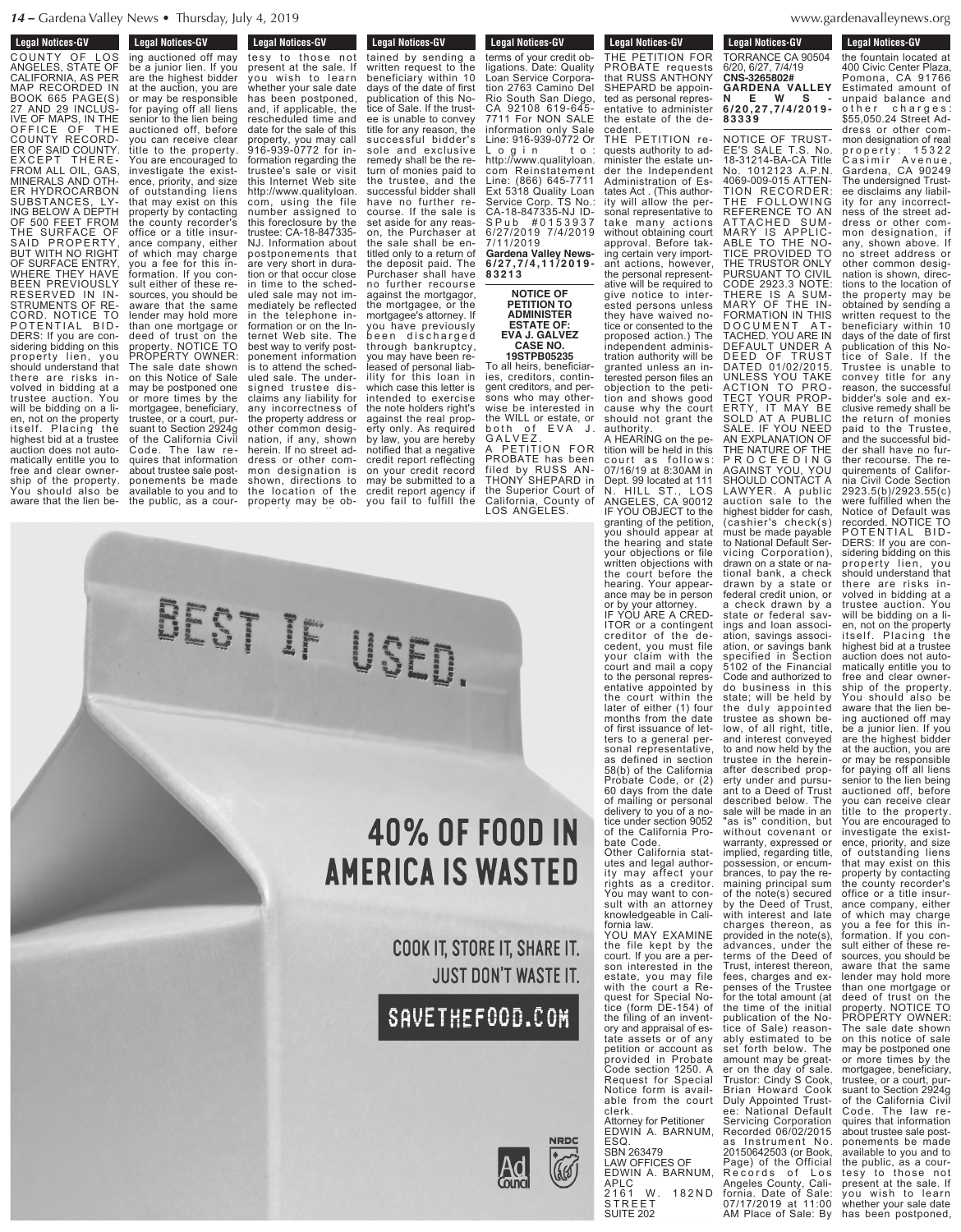**Legal Notices-GV** 

Legal Nutries-GV ing auctioned off may

**25307, Inc. Inc.** Inc. 25307, Inc. 2530 Legal Nutrices-GV COUNTY OF LOS ANGELES, STATE OF CALIFORNIA, AS PER MAP RECORDED IN BOOK 665 PAGE(S) 27 AND 29 INCLUS-IVE OF MAPS, IN THE OFFICE OF THE COUNTY RECORD-ER OF SAID COUNTY. EXCEPT THERE-FROM ALL OIL, GAS, MINERALS AND OTH-ER HYDROCARBON SUBSTANCES, LY-ING BELOW A DEPTH OF 500 FEET FROM THE SURFACE OF SAID PROPERTY, BUT WITH NO RIGHT OF SURFACE ENTRY, WHERE THEY HAVE BEEN PREVIOUSLY RESERVED IN IN-STRUMENTS OF RE-CORD. NOTICE TO POTENTIAL BID-DERS: If you are considering bidding on this property lien, you should understand that there are risks involved in bidding at a trustee auction. You will be bidding on a lien, not on the property itself. Placing the highest bid at a trustee auction does not automatically entitle you to free and clear ownership of the property. You should also be aware that the lien be-

are the highest bidder

senior to the lien being auctioned of the second off and the second of you can receive clear title to the property. You are encouraged to investigate the existence, priority, and size of outstanding liens that may exist on this property by contacting the county recorders and office or a title insurance company, either of which may charge you a fee for this information. If you consult either of these resources, you should be aware that the same lender may hold more than one mortgage or deed of trust on the property. NOTICE TO PROPERTY OWNER:

quires that information about trustee sale postponements be made

be a junior lien. If you are the highest bidder at the auction, you are or may be responsible for paying off all liens senior to the lien being auctioned off, before you can receive clear title to the property. You are encouraged to investigate the existence, priority, and size of outstanding liens that may exist on this property by contacting the county recorder's office or a title insurance company, either of which may charge you a fee for this information. If you consult either of these resources, you should be aware that the same lender may hold more than one mortgage or deed of trust on the property. NOTICE TO PROPERTY OWNER: The sale date shown on this Notice of Sale may be postponed one or more times by the mortgagee, beneficiary, trustee, or a court, pursuant to Section 2924g of the California Civil Code. The law requires that information about trustee sale postponements be made available to you and to the public, as a cour-

you will be a share to learn whether your sale date of the control of the control of

property, you may call 916-939-0772 for information regions of the trustee or visit trustee or visit to the sale of the sale of the sale of the sale of the sale of the sale of the the Second Web site Web site http://www.automatic.com

ponement information is to attend the scheduled sale. The undersigned trustee disclaims any liability for

herein. If no street address or other com-

**Legal Notices-GV Legal Nutlies-GV** tesy to those not present at the sale. If you wish to learn whether your sale date has been postponed, and, if applicable, the rescheduled time and date for the sale of this property, you may call 916-939-0772 for information regarding the trustee's sale or visit this Internet Web site http://www.qualityloan. com, using the file number assigned to this foreclosure by the trustee: CA-18-847335- NJ. Information about postponements that are very short in duration or that occur close in time to the scheduled sale may not immediately be reflected in the telephone information or on the Internet Web site. The best way to verify postponement information is to attend the scheduled sale. The undersigned trustee disclaims any liability for any incorrectness of the property address or other common designation, if any, shown herein. If no street address or other common designation is shown, directions to the location of the property may be obtained by sending a

publication of this Notice of Sale. If the trust-trustee is unable to convey

remedy shall be the return of monies paid to the monies of the second to the second to the second to the second to the second to the the trustee, and the trustee, and the trustee, and the trustee, and the trustee, and the trustee, and the trus successful bidder shall have no further recourse. If the sale is the sale is the sale

notified that a negative the second

Legal Nutrices-GV tained by sending a written request to the beneficiary within 10 days of the date of first publication of this Notice of Sale. If the trustee is unable to convey title for any reason, the successful bidder's sole and exclusive remedy shall be the return of monies paid to the trustee, and the successful bidder shall have no further recourse. If the sale is set aside for any reason, the Purchaser at the sale shall be entitled only to a return of the deposit paid. The Purchaser shall have no further recourse against the mortgagor, the mortgagee, or the mortgagee's attorney. If you have previously been discharged through bankruptcy, you may have been released of personal liability for this loan in which case this letter is intended to exercise the note holders right's against the real property only. As required by law, you are hereby notified that a negative credit report reflecting on your credit record may be submitted to a credit report agency if you fail to fulfill the terms of your credit ob-

771 For Noninformation only Sale Line: 916-939-0772 Or

2 and 255-7711 Extra 5318 Quality Loan Service Corp. Text Corp. POLY 8 8473

**Legal Notices-GV** 

#### **Legal Notices-GV** Legal Nutries-GV terms of your credit obligations. Date: Quality Loan Service Corporation 2763 Camino Del Rio South San Diego, CA 92108 619-645- 7711 For NON SALE information only Sale Line: 916-939-0772 Or Login to: http://www.qualityloan. com Reinstatement Line: (866) 645-7711 Ext 5318 Quality Loan

Service Corp. TS No.: CA-18-847335-NJ ID-S P u b # 0 1 5 3 9 3 7 6/27/2019 7/4/2019 7/11/2019 **Gardena Valley News-6 / 2 7 , 7 / 4 , 1 1 / 2 0 1 9 - 8 3 2 1 3**

### **NOTICE OF PETITION TO ADMINISTER ESTATE OF: EVA J. GALVEZ CASE NO. 19STPB05235**

To all heirs, beneficiaries, creditors, contingent creditors, and persons who may otherwise be interested in the WILL or estate, or both of EVA J. G A L V E Z . A PETITION FOR

PROBATE has been filed by RUSS AN-THONY SHEPARD in the Superior Court of California, County of LOS ANGELES.

The PETITION of the PETITION of the PETITION quests authority to administer the estate under the Independent Administration of Estates Act . (This authority will allow the per-

cedent.

**Legal Notices-GV** Leyal Nulles-av THE PETITION FOR PROBATE requests that RUSS ANTHONY SHEPARD be appointed as personal representative to administer the estate of the decedent.

THE PETITION requests authority to administer the estate under the Independent Administration of Estates Act . (This authority will allow the personal representative to take many actions without obtaining court approval. Before taking certain very important actions, however, the personal representative will be required to give notice to interested persons unless they have waived notice or consented to the proposed action.) The independent administration authority will be granted unless an interested person files an objection to the petition and shows good cause why the court should not grant the authority. A HEARING on the pe-

tition will be held in this court as follows: 07/16/19 at 8:30AM in Dept. 99 located at 111 N. HILL ST., LOS ANGELES, CA 90012 IF YOU OBJECT to the granting of the petition, you should appear at the hearing and state your objections or file written objections with the court before the hearing. Your appearance may be in person or by your attorney. IF YOU ARE A CRED-

ITOR or a contingent creditor of the decedent, you must file your claim with the court and mail a copy to the personal representative appointed by the court within the later of either (1) four months from the date of first issuance of letters to a general personal representative, as defined in section 58(b) of the California Probate Code, or (2) 60 days from the date of mailing or personal delivery to you of a notice under section 9052 of the California Probate Code.

Other California statutes and legal authority may affect your rights as a creditor. You may want to con-sult with an attorney knowledgeable in California law. YOU MAY EXAMINE the file kept by the court. If you are a person interested in the

estate, you may file with the court a Request for Special Notice (form DE-154) of the filing of an inventory and appraisal of estate assets or of any petition or account as provided in Probate Code section 1250. A Request for Special Notice form is available from the court

07/17/2019 at 11:00 AM Place of Sale: By clerk. Attorney for Petitioner EDWIN A. BARNUM, ESQ. SBN 263479 LAW OFFICES OF EDWIN A. BARNUM, APLC<br>2161 W. 182 N D **STREET** SUITE 202

TORRANCE CA 90504

the fountain located at

**Legal Notices-GV Legal Nutries-GV** the fountain located at 400 Civic Center Plaza, **Legal Notices-GV Legal Notified** TORRANCE CA 90504 6/20, 6/27, 7/4/19 **CNS-3265802# GARDENA VALLEY N E W S - 6 / 2 0 , 2 7 , 7 / 4 / 2 0 1 9 - 8 3 3 3 9**

NOTICE OF TRUST-EE'S SALE T.S. No. 18-31214-BA-CA Title No. 1012123 A.P.N. 4069-009-015 ATTEN-TION RECORDER: THE FOLLOWING REFERENCE TO AN ATTACHED SUM-MARY IS APPLIC-ABLE TO THE NO-TICE PROVIDED TO THE TRUSTOR ONLY PURSUANT TO CIVIL CODE 2923.3 NOTE: THERE IS A SUM-MARY OF THE IN-FORMATION IN THIS DOCUMENT AT-TACHED. YOU ARE IN DEFAULT UNDER A DEED OF TRUST DATED 01/02/2015. UNLESS YOU TAKE ACTION TO PRO-TECT YOUR PROP-ERTY, IT MAY BE SOLD AT A PUBLIC SALE. IF YOU NEED AN EXPLANATION OF THE NATURE OF THE P R O C E E D I N G AGAINST YOU, YOU SHOULD CONTACT A LAWYER. A public auction sale to the highest bidder for cash, (cashier's check(s) must be made payable to National Default Servicing Corporation), drawn on a state or national bank, a check drawn by a state or federal credit union, or a check drawn by a state or federal savings and loan association, savings association, or savings bank specified in Section 5102 of the Financial Code and authorized to do business in this state; will be held by the duly appointed trustee as shown below, of all right, title, and interest conveyed to and now held by the trustee in the hereinafter described property under and pursuant to a Deed of Trust described below. The sale will be made in an as is" condition, but without covenant or warranty, expressed or implied, regarding title, possession, or encumbrances, to pay the remaining principal sum of the note(s) secured by the Deed of Trust, with interest and late charges thereon, as provided in the note(s), advances, under the terms of the Deed of Trust, interest thereon, fees, charges and expenses of the Trustee for the total amount (at the time of the initial publication of the Notice of Sale) reasonably estimated to be set forth below. The amount may be greater on the day of sale. Trustor: Cindy S Cook, Brian Howard Cook Duly Appointed Trustee: National Default Servicing Corporation Recorded 06/02/2015 as Instrument No. 20150642503 (or Book, Page) of the Official Records of Los Angeles County, California. Date of Sale:

Pomona, CA 91766 Estimated amount of unpaid balance and o ther charges: \$55,050.24 Street Address or other common designation of real p r o p e r t y : 1 5 3 2 2 Casimir Avenue, Gardena, CA 90249 The undersigned Trustee disclaims any liability for any incorrectness of the street address or other common designation, if any, shown above. If no street address or other common designation is shown, directions to the location of the property may be obtained by sending a written request to the beneficiary within 10 days of the date of first publication of this Notice of Sale. If the Trustee is unable to convey title for any reason, the successful bidder's sole and exclusive remedy shall be the return of monies paid to the Trustee, and the successful bidder shall have no further recourse. The requirements of California Civil Code Section 2923.5(b)/2923.55(c) were fulfilled when the Notice of Default was recorded. NOTICE TO POTENTIAL BID-DERS: If you are considering bidding on this property lien, you should understand that there are risks involved in bidding at a trustee auction. You will be bidding on a lien, not on the property itself. Placing the highest bid at a trustee auction does not automatically entitle you to free and clear ownership of the property. You should also be aware that the lien being auctioned off may be a junior lien. If you are the highest bidder at the auction, you are or may be responsible for paying off all liens senior to the lien being auctioned off, before you can receive clear title to the property. You are encouraged to investigate the existence, priority, and size of outstanding liens that may exist on this property by contacting the county recorder's office or a title insur-ance company, either of which may charge you a fee for this information. If you consult either of these resources, you should be aware that the same lender may hold more than one mortgage or deed of trust on the property. NOTICE TO PROPERTY OWNER: The sale date shown on this notice of sale may be postponed one or more times by the mortgagee, beneficiary, trustee, or a court, pursuant to Section 2924g of the California Civil Code. The law requires that information about trustee sale postponements be made available to you and to the public, as a courtesy to those not present at the sale. If you wish to learn<br>whetheryoursaledate<br>has been postponed,<br>.



#### tration authority will be granted unless an interested person files an objection to the petition and shows good cause why the court show the grant the set intended to exercise the note holders right's against the real property only. As required by law, you are hereby

07/16/2010 at 8:30AM E IT SHARE IT  $L_{\rm H}$ , units in IN'T WASTE IT. granting of the periodic control of

han haul uur ook ook www.communications with the contract of the contract of the contract of the contract of the contract of the contract of the contract of the contract of the contract of the contract of the contract of the contract of the co the court before the





you should appear at